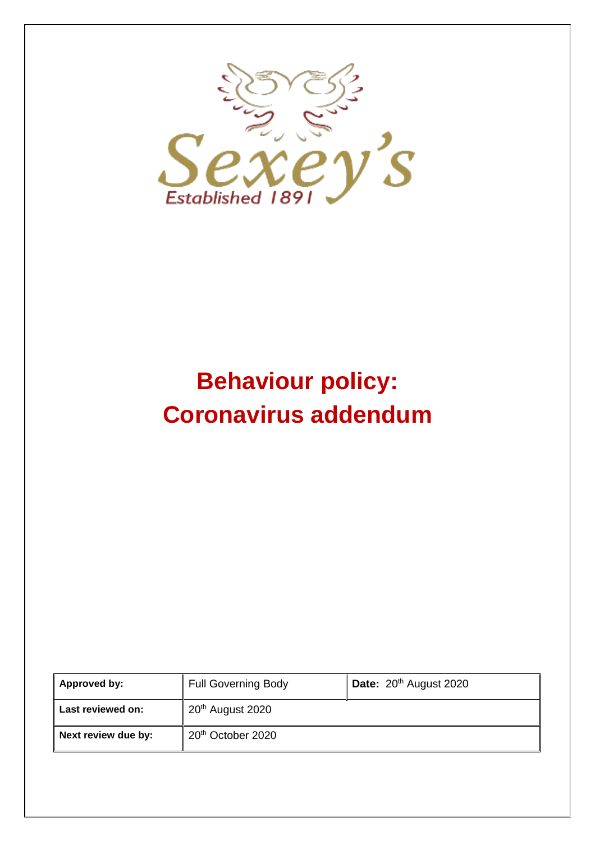

# **Behaviour policy: Coronavirus addendum**

| Approved by:        | <b>Full Governing Body</b>    | Date: 20 <sup>th</sup> August 2020 |
|---------------------|-------------------------------|------------------------------------|
| Last reviewed on:   | 20 <sup>th</sup> August 2020  |                                    |
| Next review due by: | 20 <sup>th</sup> October 2020 |                                    |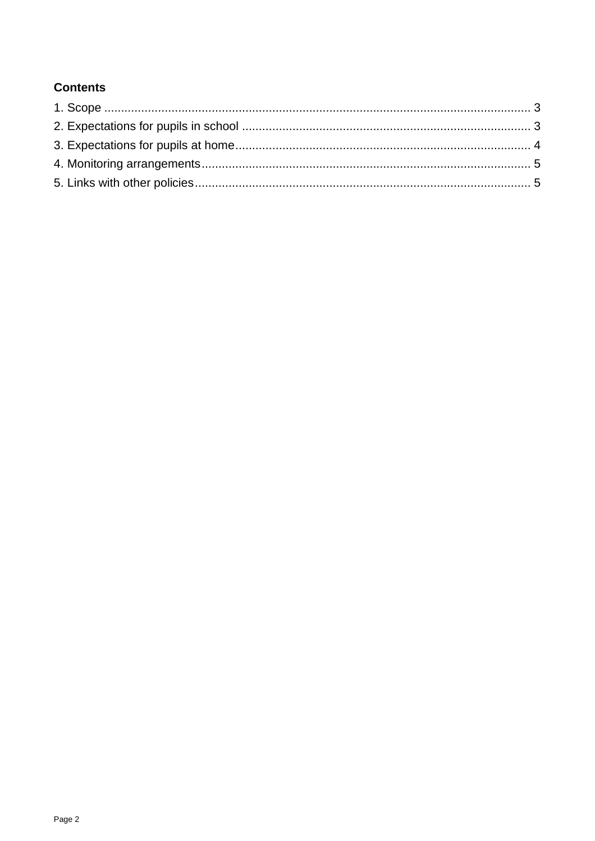# **Contents**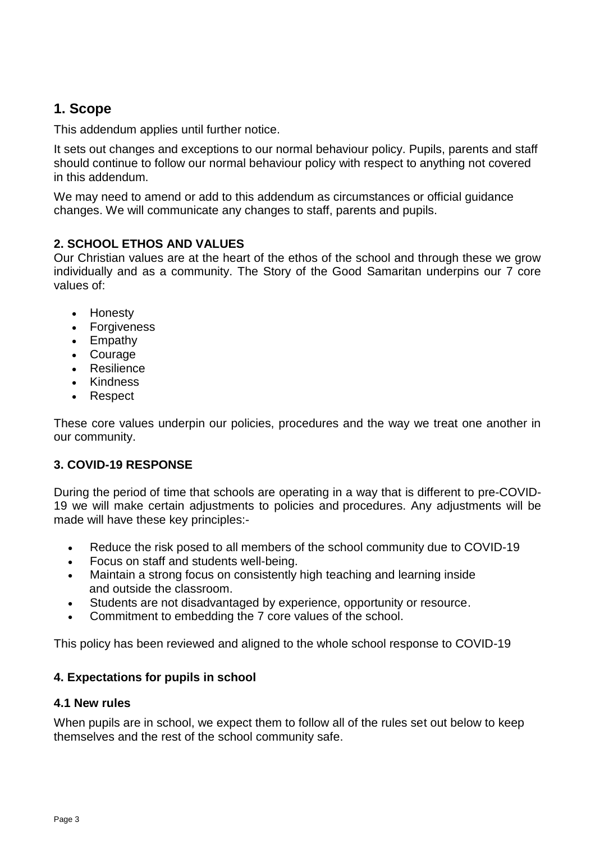# <span id="page-2-0"></span>**1. Scope**

This addendum applies until further notice.

It sets out changes and exceptions to our normal behaviour policy. Pupils, parents and staff should continue to follow our normal behaviour policy with respect to anything not covered in this addendum.

We may need to amend or add to this addendum as circumstances or official guidance changes. We will communicate any changes to staff, parents and pupils.

# **2. SCHOOL ETHOS AND VALUES**

Our Christian values are at the heart of the ethos of the school and through these we grow individually and as a community. The Story of the Good Samaritan underpins our 7 core values of:

- Honesty
- Forgiveness
- Empathy
- Courage
- Resilience
- Kindness
- Respect

These core values underpin our policies, procedures and the way we treat one another in our community.

# **3. COVID-19 RESPONSE**

During the period of time that schools are operating in a way that is different to pre-COVID-19 we will make certain adjustments to policies and procedures. Any adjustments will be made will have these key principles:-

- Reduce the risk posed to all members of the school community due to COVID-19
- Focus on staff and students well-being.
- Maintain a strong focus on consistently high teaching and learning inside and outside the classroom.
- Students are not disadvantaged by experience, opportunity or resource.
- Commitment to embedding the 7 core values of the school.

This policy has been reviewed and aligned to the whole school response to COVID-19

# <span id="page-2-1"></span>**4. Expectations for pupils in school**

# **4.1 New rules**

When pupils are in school, we expect them to follow all of the rules set out below to keep themselves and the rest of the school community safe.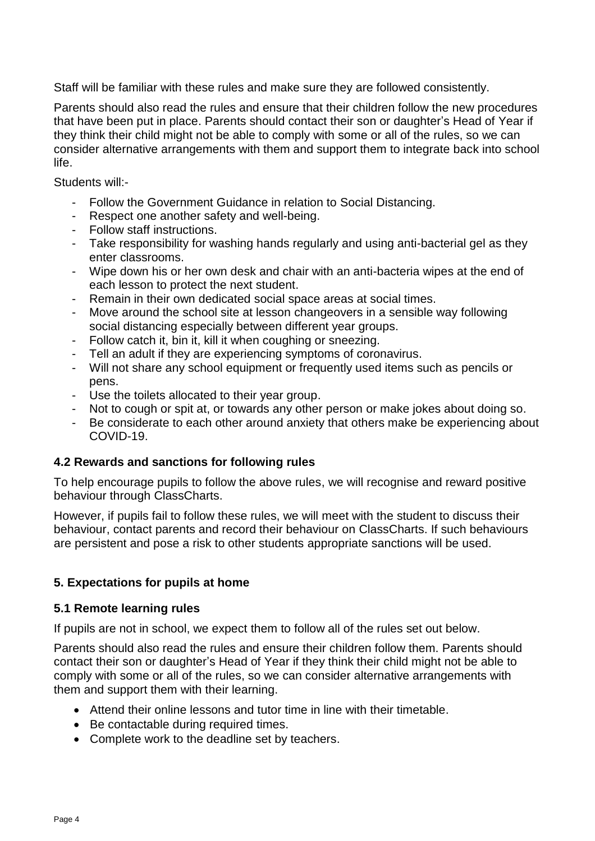Staff will be familiar with these rules and make sure they are followed consistently.

Parents should also read the rules and ensure that their children follow the new procedures that have been put in place. Parents should contact their son or daughter's Head of Year if they think their child might not be able to comply with some or all of the rules, so we can consider alternative arrangements with them and support them to integrate back into school life.

Students will:-

- Follow the Government Guidance in relation to Social Distancing.
- Respect one another safety and well-being.
- Follow staff instructions.
- Take responsibility for washing hands regularly and using anti-bacterial gel as they enter classrooms.
- Wipe down his or her own desk and chair with an anti-bacteria wipes at the end of each lesson to protect the next student.
- Remain in their own dedicated social space areas at social times.
- Move around the school site at lesson changeovers in a sensible way following social distancing especially between different year groups.
- Follow catch it, bin it, kill it when coughing or sneezing.
- Tell an adult if they are experiencing symptoms of coronavirus.
- Will not share any school equipment or frequently used items such as pencils or pens.
- Use the toilets allocated to their year group.
- Not to cough or spit at, or towards any other person or make jokes about doing so.
- Be considerate to each other around anxiety that others make be experiencing about COVID-19.

#### **4.2 Rewards and sanctions for following rules**

To help encourage pupils to follow the above rules, we will recognise and reward positive behaviour through ClassCharts.

However, if pupils fail to follow these rules, we will meet with the student to discuss their behaviour, contact parents and record their behaviour on ClassCharts. If such behaviours are persistent and pose a risk to other students appropriate sanctions will be used.

#### <span id="page-3-0"></span>**5. Expectations for pupils at home**

#### **5.1 Remote learning rules**

If pupils are not in school, we expect them to follow all of the rules set out below.

Parents should also read the rules and ensure their children follow them. Parents should contact their son or daughter's Head of Year if they think their child might not be able to comply with some or all of the rules, so we can consider alternative arrangements with them and support them with their learning.

- Attend their online lessons and tutor time in line with their timetable.
- Be contactable during required times.
- Complete work to the deadline set by teachers.